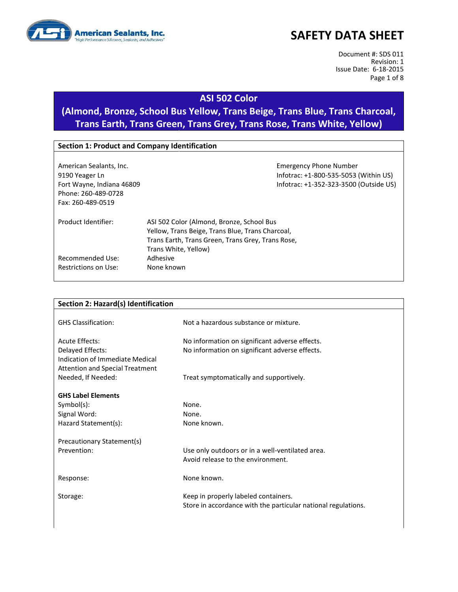

Document #: SDS 011 Revision: 1 Issue Date: 6-18-2015 Page 1 of 8

# **ASI 502 Color**

# **(Almond, Bronze, School Bus Yellow, Trans Beige, Trans Blue, Trans Charcoal, Trans Earth, Trans Green, Trans Grey, Trans Rose, Trans White, Yellow)**

### **Section 1: Product and Company Identification**

| American Sealants, Inc.<br>9190 Yeager Ln<br>Fort Wayne, Indiana 46809<br>Phone: 260-489-0728<br>Fax: 260-489-0519 |                                                                                                                                                                            | <b>Emergency Phone Number</b><br>Infotrac: +1-800-535-5053 (Within US)<br>Infotrac: +1-352-323-3500 (Outside US) |
|--------------------------------------------------------------------------------------------------------------------|----------------------------------------------------------------------------------------------------------------------------------------------------------------------------|------------------------------------------------------------------------------------------------------------------|
| Product Identifier:                                                                                                | ASI 502 Color (Almond, Bronze, School Bus<br>Yellow, Trans Beige, Trans Blue, Trans Charcoal,<br>Trans Earth, Trans Green, Trans Grey, Trans Rose,<br>Trans White, Yellow) |                                                                                                                  |
| Recommended Use:<br>Restrictions on Use:                                                                           | Adhesive<br>None known                                                                                                                                                     |                                                                                                                  |

| Section 2: Hazard(s) Identification    |                                                               |
|----------------------------------------|---------------------------------------------------------------|
|                                        |                                                               |
| <b>GHS Classification:</b>             | Not a hazardous substance or mixture.                         |
| <b>Acute Effects:</b>                  | No information on significant adverse effects.                |
| Delayed Effects:                       | No information on significant adverse effects.                |
| Indication of Immediate Medical        |                                                               |
| <b>Attention and Special Treatment</b> |                                                               |
| Needed, If Needed:                     | Treat symptomatically and supportively.                       |
|                                        |                                                               |
| <b>GHS Label Elements</b>              |                                                               |
| Symbol(s):                             | None.                                                         |
| Signal Word:                           | None.                                                         |
| Hazard Statement(s):                   | None known.                                                   |
| Precautionary Statement(s)             |                                                               |
| Prevention:                            | Use only outdoors or in a well-ventilated area.               |
|                                        | Avoid release to the environment.                             |
|                                        |                                                               |
| Response:                              | None known.                                                   |
| Storage:                               | Keep in properly labeled containers.                          |
|                                        | Store in accordance with the particular national regulations. |
|                                        |                                                               |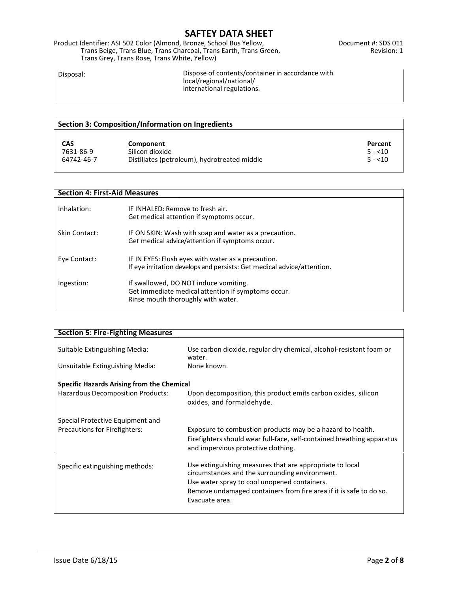Product Identifier: ASI 502 Color (Almond, Bronze, School Bus Yellow, The Matchess of Document #: SDS 011 Trans Beige, Trans Blue, Trans Charcoal, Trans Earth, Trans Green, Revision: 1 Trans Grey, Trans Rose, Trans White, Yellow)

Disposal: Dispose of contents/containerin accordance with local/regional/national/ international regulations.

| Section 3: Composition/Information on Ingredients |                                              |          |  |
|---------------------------------------------------|----------------------------------------------|----------|--|
| <u>CAS</u>                                        | Component                                    | Percent  |  |
| 7631-86-9                                         | Silicon dioxide                              | $5 - 10$ |  |
| 64742-46-7                                        | Distillates (petroleum), hydrotreated middle | $5 - 10$ |  |

| <b>Section 4: First-Aid Measures</b> |                                                                                                                                   |  |
|--------------------------------------|-----------------------------------------------------------------------------------------------------------------------------------|--|
| Inhalation:                          | IF INHALED: Remove to fresh air.<br>Get medical attention if symptoms occur.                                                      |  |
| Skin Contact:                        | IF ON SKIN: Wash with soap and water as a precaution.<br>Get medical advice/attention if symptoms occur.                          |  |
| Eye Contact:                         | IF IN EYES: Flush eyes with water as a precaution.<br>If eye irritation develops and persists: Get medical advice/attention.      |  |
| Ingestion:                           | If swallowed, DO NOT induce vomiting.<br>Get immediate medical attention if symptoms occur.<br>Rinse mouth thoroughly with water. |  |

| <b>Section 5: Fire-Fighting Measures</b>          |                                                                                                                                                                             |
|---------------------------------------------------|-----------------------------------------------------------------------------------------------------------------------------------------------------------------------------|
| Suitable Extinguishing Media:                     | Use carbon dioxide, regular dry chemical, alcohol-resistant foam or<br>water.                                                                                               |
| Unsuitable Extinguishing Media:                   | None known.                                                                                                                                                                 |
| <b>Specific Hazards Arising from the Chemical</b> |                                                                                                                                                                             |
| <b>Hazardous Decomposition Products:</b>          | Upon decomposition, this product emits carbon oxides, silicon<br>oxides, and formaldehyde.                                                                                  |
| Special Protective Equipment and                  |                                                                                                                                                                             |
| Precautions for Firefighters:                     | Exposure to combustion products may be a hazard to health.<br>Firefighters should wear full-face, self-contained breathing apparatus<br>and impervious protective clothing. |
| Specific extinguishing methods:                   | Use extinguishing measures that are appropriate to local<br>circumstances and the surrounding environment.<br>Use water spray to cool unopened containers.                  |
|                                                   | Remove undamaged containers from fire area if it is safe to do so.<br>Evacuate area.                                                                                        |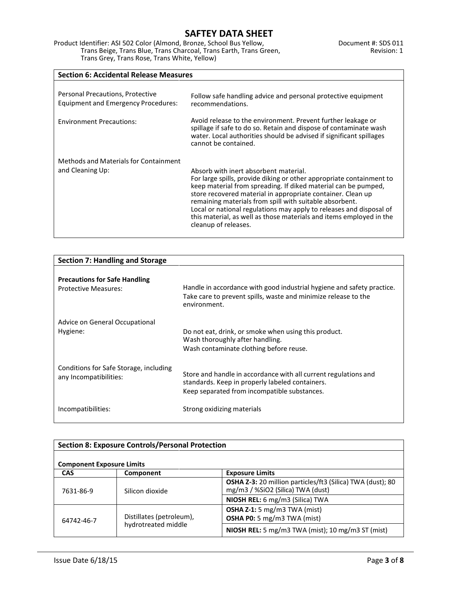Product Identifier: ASI 502 Color (Almond, Bronze, School Bus Yellow, The Matchess of Document #: SDS 011 Trans Beige, Trans Blue, Trans Charcoal, Trans Earth, Trans Green, Revision: 1 Trans Grey, Trans Rose, Trans White, Yellow)

| <b>Section 6: Accidental Release Measures</b>                           |                                                                                                                                                                                                                                                                                                                                                                                                                                                                                 |  |  |
|-------------------------------------------------------------------------|---------------------------------------------------------------------------------------------------------------------------------------------------------------------------------------------------------------------------------------------------------------------------------------------------------------------------------------------------------------------------------------------------------------------------------------------------------------------------------|--|--|
| Personal Precautions, Protective<br>Equipment and Emergency Procedures: | Follow safe handling advice and personal protective equipment<br>recommendations.                                                                                                                                                                                                                                                                                                                                                                                               |  |  |
| <b>Environment Precautions:</b>                                         | Avoid release to the environment. Prevent further leakage or<br>spillage if safe to do so. Retain and dispose of contaminate wash<br>water. Local authorities should be advised if significant spillages<br>cannot be contained.                                                                                                                                                                                                                                                |  |  |
| Methods and Materials for Containment                                   |                                                                                                                                                                                                                                                                                                                                                                                                                                                                                 |  |  |
| and Cleaning Up:                                                        | Absorb with inert absorbent material.<br>For large spills, provide diking or other appropriate containment to<br>keep material from spreading. If diked material can be pumped,<br>store recovered material in appropriate container. Clean up<br>remaining materials from spill with suitable absorbent.<br>Local or national regulations may apply to releases and disposal of<br>this material, as well as those materials and items employed in the<br>cleanup of releases. |  |  |

| <b>Section 7: Handling and Storage</b> |                                                                                                                                                          |
|----------------------------------------|----------------------------------------------------------------------------------------------------------------------------------------------------------|
| <b>Precautions for Safe Handling</b>   |                                                                                                                                                          |
| <b>Protective Measures:</b>            | Handle in accordance with good industrial hygiene and safety practice.<br>Take care to prevent spills, waste and minimize release to the<br>environment. |
| Advice on General Occupational         |                                                                                                                                                          |
| Hygiene:                               | Do not eat, drink, or smoke when using this product.<br>Wash thoroughly after handling.                                                                  |
|                                        | Wash contaminate clothing before reuse.                                                                                                                  |
| Conditions for Safe Storage, including |                                                                                                                                                          |
| any Incompatibilities:                 | Store and handle in accordance with all current regulations and<br>standards. Keep in properly labeled containers.                                       |
|                                        | Keep separated from incompatible substances.                                                                                                             |
| Incompatibilities:                     | Strong oxidizing materials                                                                                                                               |

| <b>Section 8: Exposure Controls/Personal Protection</b> |                                                 |                                                                                                 |  |
|---------------------------------------------------------|-------------------------------------------------|-------------------------------------------------------------------------------------------------|--|
| <b>Component Exposure Limits</b>                        |                                                 |                                                                                                 |  |
| <b>CAS</b>                                              | Component                                       | <b>Exposure Limits</b>                                                                          |  |
| 7631-86-9                                               | Silicon dioxide                                 | OSHA Z-3: 20 million particles/ft3 (Silica) TWA (dust); 80<br>mg/m3 / %SiO2 (Silica) TWA (dust) |  |
|                                                         |                                                 | NIOSH REL: 6 mg/m3 (Silica) TWA                                                                 |  |
| 64742-46-7                                              | Distillates (petroleum),<br>hydrotreated middle | <b>OSHA Z-1:</b> 5 mg/m3 TWA (mist)<br><b>OSHA P0:</b> 5 mg/m3 TWA (mist)                       |  |
|                                                         |                                                 | NIOSH REL: 5 mg/m3 TWA (mist); 10 mg/m3 ST (mist)                                               |  |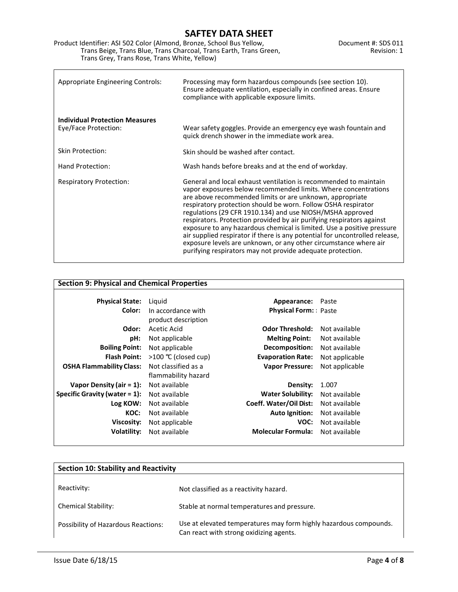Product Identifier: ASI 502 Color (Almond, Bronze, School Bus Yellow, The Matchess of Document #: SDS 011 Trans Beige, Trans Blue, Trans Charcoal, Trans Earth, Trans Green, Revision: 1 Trans Grey, Trans Rose, Trans White, Yellow)

Г

| <b>Appropriate Engineering Controls:</b>                      | Processing may form hazardous compounds (see section 10).<br>Ensure adequate ventilation, especially in confined areas. Ensure<br>compliance with applicable exposure limits.                                                                                                                                                                                                                                                                                                                                                                                                                                                                                                                    |
|---------------------------------------------------------------|--------------------------------------------------------------------------------------------------------------------------------------------------------------------------------------------------------------------------------------------------------------------------------------------------------------------------------------------------------------------------------------------------------------------------------------------------------------------------------------------------------------------------------------------------------------------------------------------------------------------------------------------------------------------------------------------------|
| <b>Individual Protection Measures</b><br>Eye/Face Protection: | Wear safety goggles. Provide an emergency eye wash fountain and<br>quick drench shower in the immediate work area.                                                                                                                                                                                                                                                                                                                                                                                                                                                                                                                                                                               |
| Skin Protection:                                              | Skin should be washed after contact.                                                                                                                                                                                                                                                                                                                                                                                                                                                                                                                                                                                                                                                             |
| Hand Protection:                                              | Wash hands before breaks and at the end of workday.                                                                                                                                                                                                                                                                                                                                                                                                                                                                                                                                                                                                                                              |
| <b>Respiratory Protection:</b>                                | General and local exhaust ventilation is recommended to maintain<br>vapor exposures below recommended limits. Where concentrations<br>are above recommended limits or are unknown, appropriate<br>respiratory protection should be worn. Follow OSHA respirator<br>regulations (29 CFR 1910.134) and use NIOSH/MSHA approved<br>respirators. Protection provided by air purifying respirators against<br>exposure to any hazardous chemical is limited. Use a positive pressure<br>air supplied respirator if there is any potential for uncontrolled release,<br>exposure levels are unknown, or any other circumstance where air<br>purifying respirators may not provide adequate protection. |

#### **Section 9: Physical and Chemical Properties**

| <b>Physical State:</b>           | Liguid              | Appearance:                 | Paste          |
|----------------------------------|---------------------|-----------------------------|----------------|
| Color:                           | In accordance with  | <b>Physical Form:</b> Paste |                |
|                                  | product description |                             |                |
| Odor:                            | Acetic Acid         | <b>Odor Threshold:</b>      | Not available  |
| pH:                              | Not applicable      | <b>Melting Point:</b>       | Not available  |
| <b>Boiling Point:</b>            | Not applicable      | Decomposition:              | Not available  |
| <b>Flash Point:</b>              | >100 ℃ (closed cup) | <b>Evaporation Rate:</b>    | Not applicable |
| <b>OSHA Flammability Class:</b>  | Not classified as a | <b>Vapor Pressure:</b>      | Not applicable |
|                                  | flammability hazard |                             |                |
| Vapor Density (air = $1$ ):      | Not available       | Density:                    | 1.007          |
| Specific Gravity (water $= 1$ ): | Not available       | <b>Water Solubility:</b>    | Not available  |
| Log KOW:                         | Not available       | Coeff. Water/Oil Dist:      | Not available  |
| KOC:                             | Not available       | <b>Auto Ignition:</b>       | Not available  |
| Viscosity:                       | Not applicable      | VOC:                        | Not available  |
| Volatility:                      | Not available       | <b>Molecular Formula:</b>   | Not available  |
|                                  |                     |                             |                |

| <b>Section 10: Stability and Reactivity</b> |                                                                                                              |  |  |
|---------------------------------------------|--------------------------------------------------------------------------------------------------------------|--|--|
| Reactivity:                                 | Not classified as a reactivity hazard.                                                                       |  |  |
| Chemical Stability:                         | Stable at normal temperatures and pressure.                                                                  |  |  |
| Possibility of Hazardous Reactions:         | Use at elevated temperatures may form highly hazardous compounds.<br>Can react with strong oxidizing agents. |  |  |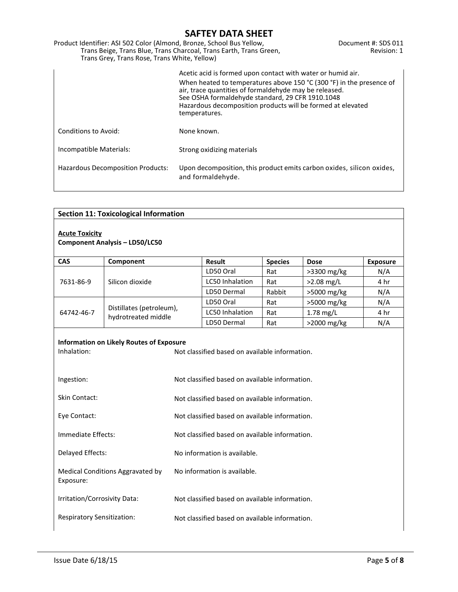| Product Identifier: ASI 502 Color (Almond, Bronze, School Bus Yellow,<br>Trans Beige, Trans Blue, Trans Charcoal, Trans Earth, Trans Green,<br>Trans Grey, Trans Rose, Trans White, Yellow) |                                                                                                                                                                                                                                                                                                                                   | Document #: SDS 011<br>Revision: 1 |
|---------------------------------------------------------------------------------------------------------------------------------------------------------------------------------------------|-----------------------------------------------------------------------------------------------------------------------------------------------------------------------------------------------------------------------------------------------------------------------------------------------------------------------------------|------------------------------------|
|                                                                                                                                                                                             | Acetic acid is formed upon contact with water or humid air.<br>When heated to temperatures above 150 °C (300 °F) in the presence of<br>air, trace quantities of formaldehyde may be released.<br>See OSHA formaldehyde standard, 29 CFR 1910.1048<br>Hazardous decomposition products will be formed at elevated<br>temperatures. |                                    |
| Conditions to Avoid:                                                                                                                                                                        | None known.                                                                                                                                                                                                                                                                                                                       |                                    |
| Incompatible Materials:                                                                                                                                                                     | Strong oxidizing materials                                                                                                                                                                                                                                                                                                        |                                    |
| Hazardous Decomposition Products:                                                                                                                                                           | Upon decomposition, this product emits carbon oxides, silicon oxides,<br>and formaldehyde.                                                                                                                                                                                                                                        |                                    |

### **Section 11: Toxicological Information**

#### **Acute Toxicity**

**Component Analysis – LD50/LC50**

| <b>CAS</b> | Component                                       | <b>Result</b>   | <b>Species</b>      | <b>Dose</b> | <b>Exposure</b> |  |
|------------|-------------------------------------------------|-----------------|---------------------|-------------|-----------------|--|
| 7631-86-9  |                                                 | LD50 Oral       | Rat                 | >3300 mg/kg | N/A             |  |
|            | Silicon dioxide                                 | LC50 Inhalation | $>2.08$ mg/L<br>Rat |             | 4 hr            |  |
|            |                                                 | LD50 Dermal     | Rabbit              | >5000 mg/kg | N/A             |  |
|            | Distillates (petroleum),<br>hydrotreated middle | LD50 Oral       | Rat                 | >5000 mg/kg | N/A             |  |
| 64742-46-7 |                                                 | LC50 Inhalation | Rat                 | $1.78$ mg/L | 4 hr            |  |
|            |                                                 | LD50 Dermal     | Rat                 | >2000 mg/kg | N/A             |  |

### **Information on Likely Routes of Exposure**

| Inhalation:                                   | Not classified based on available information. |
|-----------------------------------------------|------------------------------------------------|
| Ingestion:                                    | Not classified based on available information. |
| Skin Contact:                                 | Not classified based on available information. |
| Eye Contact:                                  | Not classified based on available information. |
| Immediate Effects:                            | Not classified based on available information. |
| Delayed Effects:                              | No information is available.                   |
| Medical Conditions Aggravated by<br>Exposure: | No information is available.                   |
| Irritation/Corrosivity Data:                  | Not classified based on available information. |
| <b>Respiratory Sensitization:</b>             | Not classified based on available information. |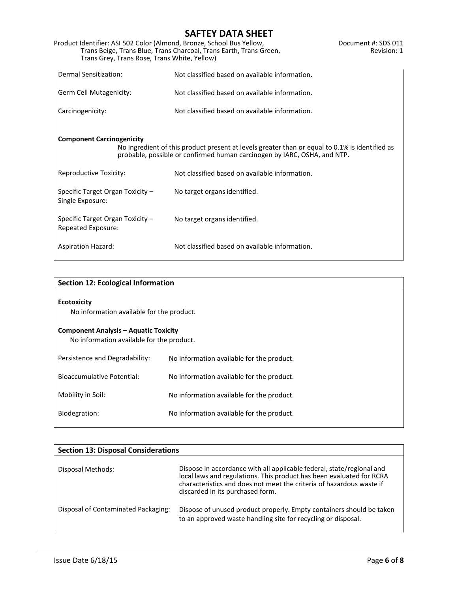Produment #: SDS 011<br>Revision: 1

| Product Identifier: ASI 502 Color (Almond, Bronze, School Bus Yellow, | Document #: SDS 011 |
|-----------------------------------------------------------------------|---------------------|
| Trans Beige, Trans Blue, Trans Charcoal, Trans Earth, Trans Green,    | Revision: 1         |
| Trans Grey, Trans Rose, Trans White, Yellow)                          |                     |

| Dermal Sensitization:                                                                                                                                                                                          | Not classified based on available information. |  |  |  |  |
|----------------------------------------------------------------------------------------------------------------------------------------------------------------------------------------------------------------|------------------------------------------------|--|--|--|--|
| Germ Cell Mutagenicity:                                                                                                                                                                                        | Not classified based on available information. |  |  |  |  |
| Carcinogenicity:                                                                                                                                                                                               | Not classified based on available information. |  |  |  |  |
| <b>Component Carcinogenicity</b><br>No ingredient of this product present at levels greater than or equal to 0.1% is identified as<br>probable, possible or confirmed human carcinogen by IARC, OSHA, and NTP. |                                                |  |  |  |  |
| Reproductive Toxicity:                                                                                                                                                                                         | Not classified based on available information. |  |  |  |  |
| Specific Target Organ Toxicity $-$<br>Single Exposure:                                                                                                                                                         | No target organs identified.                   |  |  |  |  |
| Specific Target Organ Toxicity -<br>Repeated Exposure:                                                                                                                                                         | No target organs identified.                   |  |  |  |  |
| <b>Aspiration Hazard:</b>                                                                                                                                                                                      | Not classified based on available information. |  |  |  |  |

| <b>Section 12: Ecological Information</b>                                                 |                                           |  |  |  |  |  |
|-------------------------------------------------------------------------------------------|-------------------------------------------|--|--|--|--|--|
| <b>Ecotoxicity</b><br>No information available for the product.                           |                                           |  |  |  |  |  |
| <b>Component Analysis – Aquatic Toxicity</b><br>No information available for the product. |                                           |  |  |  |  |  |
| Persistence and Degradability:                                                            | No information available for the product. |  |  |  |  |  |
| <b>Bioaccumulative Potential:</b>                                                         | No information available for the product. |  |  |  |  |  |
| Mobility in Soil:                                                                         | No information available for the product. |  |  |  |  |  |
| Biodegration:                                                                             | No information available for the product. |  |  |  |  |  |

| <b>Section 13: Disposal Considerations</b> |                                                                                                                                                                                                                                                           |  |  |  |  |
|--------------------------------------------|-----------------------------------------------------------------------------------------------------------------------------------------------------------------------------------------------------------------------------------------------------------|--|--|--|--|
| Disposal Methods:                          | Dispose in accordance with all applicable federal, state/regional and<br>local laws and regulations. This product has been evaluated for RCRA<br>characteristics and does not meet the criteria of hazardous waste if<br>discarded in its purchased form. |  |  |  |  |
| Disposal of Contaminated Packaging:        | Dispose of unused product properly. Empty containers should be taken<br>to an approved waste handling site for recycling or disposal.                                                                                                                     |  |  |  |  |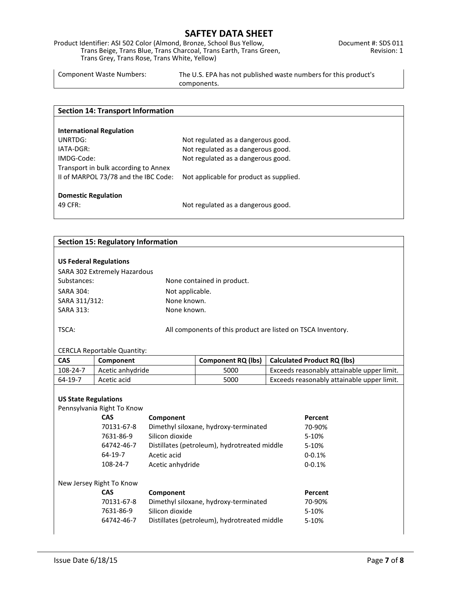Product Identifier: ASI 502 Color (Almond, Bronze, School Bus Yellow, The Matchess of Document #: SDS 011 Trans Beige, Trans Blue, Trans Charcoal, Trans Earth, Trans Green, Revision: 1 Trans Grey, Trans Rose, Trans White, Yellow)

Component Waste Numbers: The U.S. EPA has not published waste numbersfor this product's components.

| <b>Section 14: Transport Information</b> |                                         |
|------------------------------------------|-----------------------------------------|
|                                          |                                         |
| <b>International Regulation</b>          |                                         |
| UNRTDG:                                  | Not regulated as a dangerous good.      |
| IATA-DGR:                                | Not regulated as a dangerous good.      |
| IMDG-Code:                               | Not regulated as a dangerous good.      |
| Transport in bulk according to Annex     |                                         |
| II of MARPOL 73/78 and the IBC Code:     | Not applicable for product as supplied. |
|                                          |                                         |
| <b>Domestic Regulation</b>               |                                         |
| 49 CFR:                                  | Not regulated as a dangerous good.      |
|                                          |                                         |

#### **Section 15: Regulatory Information**

| <b>US Federal Regulations</b>             |                                    |                  |                                                              |                                            |                                    |  |  |
|-------------------------------------------|------------------------------------|------------------|--------------------------------------------------------------|--------------------------------------------|------------------------------------|--|--|
|                                           | SARA 302 Extremely Hazardous       |                  |                                                              |                                            |                                    |  |  |
| Substances:<br>None contained in product. |                                    |                  |                                                              |                                            |                                    |  |  |
| <b>SARA 304:</b>                          |                                    | Not applicable.  |                                                              |                                            |                                    |  |  |
| SARA 311/312:                             |                                    | None known.      |                                                              |                                            |                                    |  |  |
| <b>SARA 313:</b>                          |                                    | None known.      |                                                              |                                            |                                    |  |  |
|                                           |                                    |                  |                                                              |                                            |                                    |  |  |
| TSCA:                                     |                                    |                  | All components of this product are listed on TSCA Inventory. |                                            |                                    |  |  |
|                                           |                                    |                  |                                                              |                                            |                                    |  |  |
|                                           | <b>CERCLA Reportable Quantity:</b> |                  |                                                              |                                            |                                    |  |  |
| <b>CAS</b>                                | Component                          |                  | <b>Component RQ (lbs)</b>                                    |                                            | <b>Calculated Product RQ (lbs)</b> |  |  |
| 108-24-7                                  | Acetic anhydride                   |                  | 5000                                                         | Exceeds reasonably attainable upper limit. |                                    |  |  |
| 64-19-7                                   | Acetic acid                        |                  | 5000                                                         | Exceeds reasonably attainable upper limit. |                                    |  |  |
|                                           |                                    |                  |                                                              |                                            |                                    |  |  |
| <b>US State Regulations</b>               |                                    |                  |                                                              |                                            |                                    |  |  |
| Pennsylvania Right To Know                |                                    |                  |                                                              |                                            |                                    |  |  |
|                                           |                                    |                  |                                                              |                                            |                                    |  |  |
|                                           | CAS                                | Component        |                                                              |                                            | Percent                            |  |  |
|                                           | 70131-67-8                         |                  | Dimethyl siloxane, hydroxy-terminated                        |                                            | 70-90%                             |  |  |
|                                           | 7631-86-9                          | Silicon dioxide  |                                                              |                                            | 5-10%                              |  |  |
|                                           | 64742-46-7                         |                  | Distillates (petroleum), hydrotreated middle                 |                                            | 5-10%                              |  |  |
|                                           | $64-19-7$                          | Acetic acid      |                                                              |                                            | $0 - 0.1%$                         |  |  |
|                                           | 108-24-7                           | Acetic anhydride |                                                              |                                            | $0 - 0.1%$                         |  |  |
|                                           | New Jersey Right To Know           |                  |                                                              |                                            |                                    |  |  |
|                                           | CAS                                | Component        |                                                              |                                            | Percent                            |  |  |
|                                           | 70131-67-8                         |                  | Dimethyl siloxane, hydroxy-terminated                        |                                            | 70-90%                             |  |  |
|                                           | 7631-86-9                          | Silicon dioxide  |                                                              |                                            | 5-10%                              |  |  |
|                                           | 64742-46-7                         |                  | Distillates (petroleum), hydrotreated middle                 |                                            | 5-10%                              |  |  |